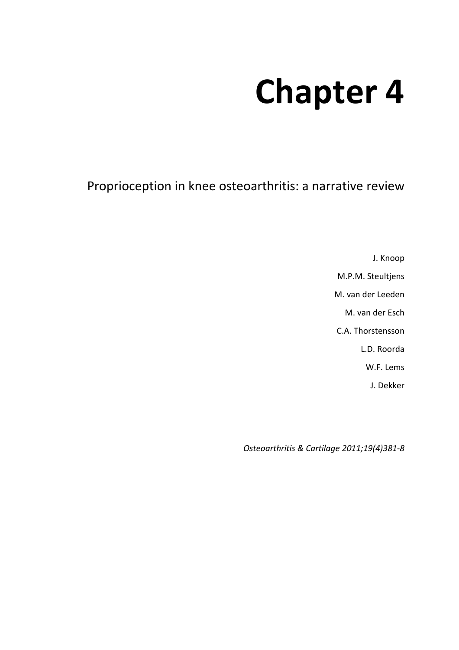# **Chapter 4**

# Proprioception in knee osteoarthritis: a narrative review

J. Knoop M.P.M. Steultjens M. van der Leeden M. van der Esch C.A. Thorstensson L.D. Roorda W.F. Lems J. Dekker

*Osteoarthritis & Cartilage 2011;19(4)381-8*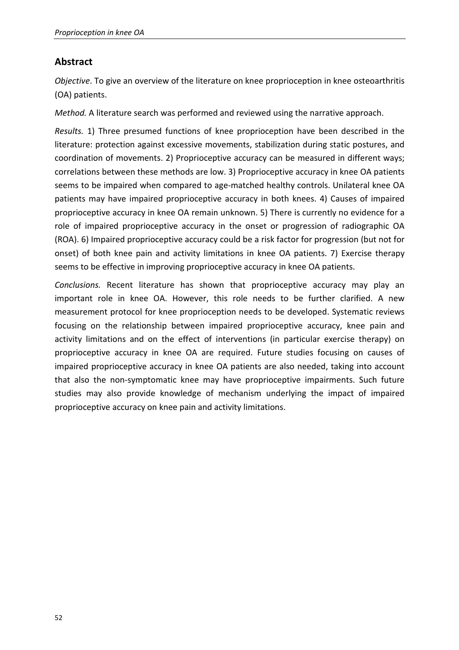# **Abstract**

*Objective*. To give an overview of the literature on knee proprioception in knee osteoarthritis (OA) patients.

*Method.* A literature search was performed and reviewed using the narrative approach.

*Results.* 1) Three presumed functions of knee proprioception have been described in the literature: protection against excessive movements, stabilization during static postures, and coordination of movements. 2) Proprioceptive accuracy can be measured in different ways; correlations between these methods are low. 3) Proprioceptive accuracy in knee OA patients seems to be impaired when compared to age-matched healthy controls. Unilateral knee OA patients may have impaired proprioceptive accuracy in both knees. 4) Causes of impaired proprioceptive accuracy in knee OA remain unknown. 5) There is currently no evidence for a role of impaired proprioceptive accuracy in the onset or progression of radiographic OA (ROA). 6) Impaired proprioceptive accuracy could be a risk factor for progression (but not for onset) of both knee pain and activity limitations in knee OA patients. 7) Exercise therapy seems to be effective in improving proprioceptive accuracy in knee OA patients.

*Conclusions.* Recent literature has shown that proprioceptive accuracy may play an important role in knee OA. However, this role needs to be further clarified. A new measurement protocol for knee proprioception needs to be developed. Systematic reviews focusing on the relationship between impaired proprioceptive accuracy, knee pain and activity limitations and on the effect of interventions (in particular exercise therapy) on proprioceptive accuracy in knee OA are required. Future studies focusing on causes of impaired proprioceptive accuracy in knee OA patients are also needed, taking into account that also the non-symptomatic knee may have proprioceptive impairments. Such future studies may also provide knowledge of mechanism underlying the impact of impaired proprioceptive accuracy on knee pain and activity limitations.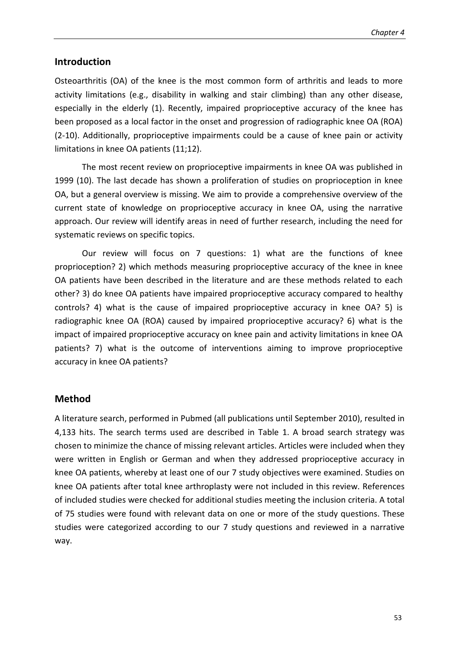## **Introduction**

Osteoarthritis (OA) of the knee is the most common form of arthritis and leads to more activity limitations (e.g., disability in walking and stair climbing) than any other disease, especially in the elderly (1). Recently, impaired proprioceptive accuracy of the knee has been proposed as a local factor in the onset and progression of radiographic knee OA (ROA) (2-10). Additionally, proprioceptive impairments could be a cause of knee pain or activity limitations in knee OA patients (11;12).

The most recent review on proprioceptive impairments in knee OA was published in 1999 (10). The last decade has shown a proliferation of studies on proprioception in knee OA, but a general overview is missing. We aim to provide a comprehensive overview of the current state of knowledge on proprioceptive accuracy in knee OA, using the narrative approach. Our review will identify areas in need of further research, including the need for systematic reviews on specific topics.

Our review will focus on 7 questions: 1) what are the functions of knee proprioception? 2) which methods measuring proprioceptive accuracy of the knee in knee OA patients have been described in the literature and are these methods related to each other? 3) do knee OA patients have impaired proprioceptive accuracy compared to healthy controls? 4) what is the cause of impaired proprioceptive accuracy in knee OA? 5) is radiographic knee OA (ROA) caused by impaired proprioceptive accuracy? 6) what is the impact of impaired proprioceptive accuracy on knee pain and activity limitations in knee OA patients? 7) what is the outcome of interventions aiming to improve proprioceptive accuracy in knee OA patients?

#### **Method**

A literature search, performed in Pubmed (all publications until September 2010), resulted in 4,133 hits. The search terms used are described in Table 1. A broad search strategy was chosen to minimize the chance of missing relevant articles. Articles were included when they were written in English or German and when they addressed proprioceptive accuracy in knee OA patients, whereby at least one of our 7 study objectives were examined. Studies on knee OA patients after total knee arthroplasty were not included in this review. References of included studies were checked for additional studies meeting the inclusion criteria. A total of 75 studies were found with relevant data on one or more of the study questions. These studies were categorized according to our 7 study questions and reviewed in a narrative way.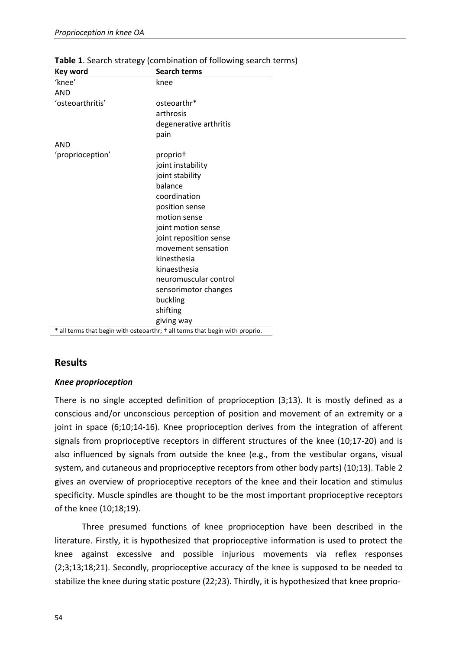| Key word                                                                     | <b>Search terms</b>    |  |  |  |
|------------------------------------------------------------------------------|------------------------|--|--|--|
| 'knee'                                                                       | knee                   |  |  |  |
| <b>AND</b>                                                                   |                        |  |  |  |
| 'osteoarthritis'                                                             | osteoarthr*            |  |  |  |
|                                                                              | arthrosis              |  |  |  |
|                                                                              | degenerative arthritis |  |  |  |
|                                                                              | pain                   |  |  |  |
| AND                                                                          |                        |  |  |  |
| 'proprioception'                                                             | proprio <sup>+</sup>   |  |  |  |
|                                                                              | joint instability      |  |  |  |
|                                                                              | joint stability        |  |  |  |
|                                                                              | balance                |  |  |  |
|                                                                              | coordination           |  |  |  |
|                                                                              | position sense         |  |  |  |
|                                                                              | motion sense           |  |  |  |
|                                                                              | joint motion sense     |  |  |  |
|                                                                              | joint reposition sense |  |  |  |
|                                                                              | movement sensation     |  |  |  |
|                                                                              | kinesthesia            |  |  |  |
|                                                                              | kinaesthesia           |  |  |  |
|                                                                              | neuromuscular control  |  |  |  |
|                                                                              | sensorimotor changes   |  |  |  |
|                                                                              | buckling               |  |  |  |
|                                                                              | shifting               |  |  |  |
|                                                                              | giving way             |  |  |  |
| * all terms that begin with osteoarthr; † all terms that begin with proprio. |                        |  |  |  |

**Table 1**. Search strategy (combination of following search terms)

# **Results**

#### *Knee proprioception*

There is no single accepted definition of proprioception (3;13). It is mostly defined as a conscious and/or unconscious perception of position and movement of an extremity or a joint in space (6;10;14-16). Knee proprioception derives from the integration of afferent signals from proprioceptive receptors in different structures of the knee (10;17-20) and is also influenced by signals from outside the knee (e.g., from the vestibular organs, visual system, and cutaneous and proprioceptive receptors from other body parts) (10;13). Table 2 gives an overview of proprioceptive receptors of the knee and their location and stimulus specificity. Muscle spindles are thought to be the most important proprioceptive receptors of the knee (10;18;19).

 Three presumed functions of knee proprioception have been described in the literature. Firstly, it is hypothesized that proprioceptive information is used to protect the knee against excessive and possible injurious movements via reflex responses (2;3;13;18;21). Secondly, proprioceptive accuracy of the knee is supposed to be needed to stabilize the knee during static posture (22;23). Thirdly, it is hypothesized that knee proprio-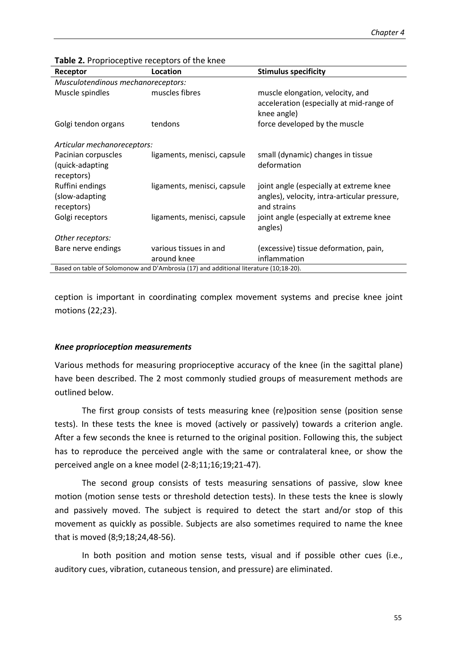| Receptor                                                                              | Location                    | <b>Stimulus specificity</b>                                                                            |  |  |  |  |
|---------------------------------------------------------------------------------------|-----------------------------|--------------------------------------------------------------------------------------------------------|--|--|--|--|
| Musculotendinous mechanoreceptors:                                                    |                             |                                                                                                        |  |  |  |  |
| Muscle spindles                                                                       | muscles fibres              | muscle elongation, velocity, and<br>acceleration (especially at mid-range of<br>knee angle)            |  |  |  |  |
| Golgi tendon organs                                                                   | tendons                     | force developed by the muscle                                                                          |  |  |  |  |
| Articular mechanoreceptors:                                                           |                             |                                                                                                        |  |  |  |  |
| Pacinian corpuscles<br>(quick-adapting<br>receptors)                                  | ligaments, menisci, capsule | small (dynamic) changes in tissue<br>deformation                                                       |  |  |  |  |
| Ruffini endings<br>(slow-adapting<br>receptors)                                       | ligaments, menisci, capsule | joint angle (especially at extreme knee<br>angles), velocity, intra-articular pressure,<br>and strains |  |  |  |  |
| Golgi receptors                                                                       | ligaments, menisci, capsule | joint angle (especially at extreme knee<br>angles)                                                     |  |  |  |  |
| Other receptors:                                                                      |                             |                                                                                                        |  |  |  |  |
| Bare nerve endings                                                                    | various tissues in and      | (excessive) tissue deformation, pain,                                                                  |  |  |  |  |
|                                                                                       | around knee                 | inflammation                                                                                           |  |  |  |  |
| Based on table of Solomonow and D'Ambrosia (17) and additional literature (10;18-20). |                             |                                                                                                        |  |  |  |  |

**Table 2.** Proprioceptive receptors of the knee

ception is important in coordinating complex movement systems and precise knee joint motions (22;23).

#### *Knee proprioception measurements*

Various methods for measuring proprioceptive accuracy of the knee (in the sagittal plane) have been described. The 2 most commonly studied groups of measurement methods are outlined below.

The first group consists of tests measuring knee (re)position sense (position sense tests). In these tests the knee is moved (actively or passively) towards a criterion angle. After a few seconds the knee is returned to the original position. Following this, the subject has to reproduce the perceived angle with the same or contralateral knee, or show the perceived angle on a knee model (2-8;11;16;19;21-47).

The second group consists of tests measuring sensations of passive, slow knee motion (motion sense tests or threshold detection tests). In these tests the knee is slowly and passively moved. The subject is required to detect the start and/or stop of this movement as quickly as possible. Subjects are also sometimes required to name the knee that is moved (8;9;18;24,48-56).

In both position and motion sense tests, visual and if possible other cues (i.e., auditory cues, vibration, cutaneous tension, and pressure) are eliminated.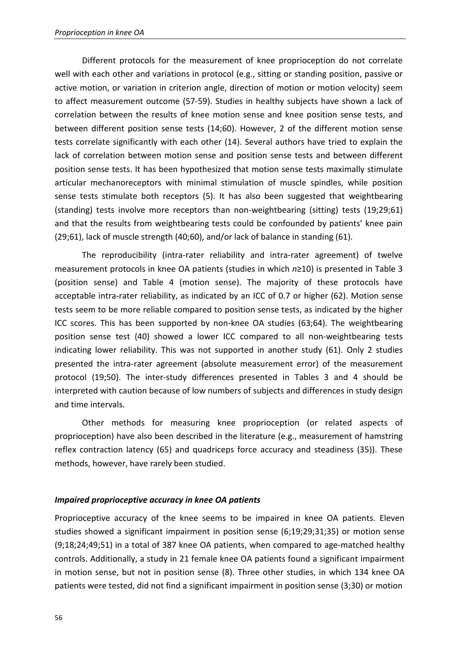Different protocols for the measurement of knee proprioception do not correlate well with each other and variations in protocol (e.g., sitting or standing position, passive or active motion, or variation in criterion angle, direction of motion or motion velocity) seem to affect measurement outcome (57-59). Studies in healthy subjects have shown a lack of correlation between the results of knee motion sense and knee position sense tests, and between different position sense tests (14;60). However, 2 of the different motion sense tests correlate significantly with each other (14). Several authors have tried to explain the lack of correlation between motion sense and position sense tests and between different position sense tests. It has been hypothesized that motion sense tests maximally stimulate articular mechanoreceptors with minimal stimulation of muscle spindles, while position sense tests stimulate both receptors (5). It has also been suggested that weightbearing (standing) tests involve more receptors than non-weightbearing (sitting) tests (19;29;61) and that the results from weightbearing tests could be confounded by patients' knee pain (29;61), lack of muscle strength (40;60), and/or lack of balance in standing (61).

The reproducibility (intra-rater reliability and intra-rater agreement) of twelve measurement protocols in knee OA patients (studies in which *n*≥10) is presented in Table 3 (position sense) and Table 4 (motion sense). The majority of these protocols have acceptable intra-rater reliability, as indicated by an ICC of 0.7 or higher (62). Motion sense tests seem to be more reliable compared to position sense tests, as indicated by the higher ICC scores. This has been supported by non-knee OA studies (63;64). The weightbearing position sense test (40) showed a lower ICC compared to all non-weightbearing tests indicating lower reliability. This was not supported in another study (61). Only 2 studies presented the intra-rater agreement (absolute measurement error) of the measurement protocol (19;50). The inter-study differences presented in Tables 3 and 4 should be interpreted with caution because of low numbers of subjects and differences in study design and time intervals.

Other methods for measuring knee proprioception (or related aspects of proprioception) have also been described in the literature (e.g., measurement of hamstring reflex contraction latency (65) and quadriceps force accuracy and steadiness (35)). These methods, however, have rarely been studied.

#### *Impaired proprioceptive accuracy in knee OA patients*

Proprioceptive accuracy of the knee seems to be impaired in knee OA patients. Eleven studies showed a significant impairment in position sense (6;19;29;31;35) or motion sense (9;18;24;49;51) in a total of 387 knee OA patients, when compared to age-matched healthy controls. Additionally, a study in 21 female knee OA patients found a significant impairment in motion sense, but not in position sense (8). Three other studies, in which 134 knee OA patients were tested, did not find a significant impairment in position sense (3;30) or motion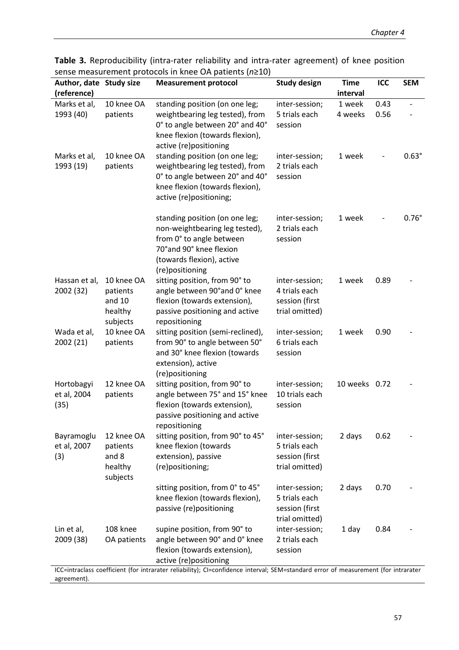| Author, date Study size                                                                                                                                      |                        | <b>Measurement protocol</b>                                                                                                      | <b>Study design</b>              | <b>Time</b>   | ICC  | <b>SEM</b>   |
|--------------------------------------------------------------------------------------------------------------------------------------------------------------|------------------------|----------------------------------------------------------------------------------------------------------------------------------|----------------------------------|---------------|------|--------------|
| (reference)                                                                                                                                                  |                        |                                                                                                                                  |                                  | interval      |      |              |
| Marks et al,                                                                                                                                                 | 10 knee OA             | standing position (on one leg;                                                                                                   | inter-session;                   | 1 week        | 0.43 |              |
| 1993 (40)                                                                                                                                                    | patients               | weightbearing leg tested), from<br>0° to angle between 20° and 40°                                                               | 5 trials each<br>session         | 4 weeks       | 0.56 |              |
|                                                                                                                                                              |                        | knee flexion (towards flexion),<br>active (re)positioning                                                                        |                                  |               |      |              |
| Marks et al,                                                                                                                                                 | 10 knee OA             | standing position (on one leg;                                                                                                   | inter-session;                   | 1 week        |      | $0.63^\circ$ |
| 1993 (19)                                                                                                                                                    | patients               | weightbearing leg tested), from<br>0° to angle between 20° and 40°<br>knee flexion (towards flexion),<br>active (re)positioning; | 2 trials each<br>session         |               |      |              |
|                                                                                                                                                              |                        | standing position (on one leg;                                                                                                   | inter-session;                   | 1 week        |      | $0.76^\circ$ |
|                                                                                                                                                              |                        | non-weightbearing leg tested),<br>from 0° to angle between                                                                       | 2 trials each<br>session         |               |      |              |
|                                                                                                                                                              |                        | 70° and 90° knee flexion                                                                                                         |                                  |               |      |              |
|                                                                                                                                                              |                        | (towards flexion), active<br>(re)positioning                                                                                     |                                  |               |      |              |
| Hassan et al,                                                                                                                                                | 10 knee OA             | sitting position, from 90° to                                                                                                    | inter-session;                   | 1 week        | 0.89 |              |
| 2002 (32)                                                                                                                                                    | patients               | angle between 90°and 0° knee                                                                                                     | 4 trials each                    |               |      |              |
|                                                                                                                                                              | and 10                 | flexion (towards extension),                                                                                                     | session (first                   |               |      |              |
|                                                                                                                                                              | healthy<br>subjects    | passive positioning and active<br>repositioning                                                                                  | trial omitted)                   |               |      |              |
| Wada et al,                                                                                                                                                  | 10 knee OA             | sitting position (semi-reclined),                                                                                                | inter-session;                   | 1 week        | 0.90 |              |
| 2002 (21)                                                                                                                                                    | patients               | from 90° to angle between 50°<br>and 30° knee flexion (towards                                                                   | 6 trials each<br>session         |               |      |              |
|                                                                                                                                                              |                        | extension), active                                                                                                               |                                  |               |      |              |
|                                                                                                                                                              |                        | (re)positioning                                                                                                                  |                                  |               |      |              |
| Hortobagyi<br>et al, 2004                                                                                                                                    | 12 knee OA<br>patients | sitting position, from 90° to<br>angle between 75° and 15° knee                                                                  | inter-session;<br>10 trials each | 10 weeks 0.72 |      |              |
| (35)                                                                                                                                                         |                        | flexion (towards extension),                                                                                                     | session                          |               |      |              |
|                                                                                                                                                              |                        | passive positioning and active                                                                                                   |                                  |               |      |              |
|                                                                                                                                                              |                        | repositioning                                                                                                                    |                                  |               |      |              |
| Bayramoglu<br>et al, 2007                                                                                                                                    | 12 knee OA             | sitting position, from 90° to 45°<br>knee flexion (towards                                                                       | inter-session;<br>5 trials each  | 2 days        | 0.62 |              |
| (3)                                                                                                                                                          | patients<br>and 8      | extension), passive                                                                                                              | session (first                   |               |      |              |
|                                                                                                                                                              | healthy<br>subjects    | (re)positioning;                                                                                                                 | trial omitted)                   |               |      |              |
|                                                                                                                                                              |                        | sitting position, from 0° to 45°                                                                                                 | inter-session;                   | 2 days        | 0.70 |              |
|                                                                                                                                                              |                        | knee flexion (towards flexion),                                                                                                  | 5 trials each                    |               |      |              |
|                                                                                                                                                              |                        | passive (re)positioning                                                                                                          | session (first<br>trial omitted) |               |      |              |
| Lin et al,                                                                                                                                                   | 108 knee               | supine position, from 90° to                                                                                                     | inter-session;                   | 1 day         | 0.84 |              |
| 2009 (38)                                                                                                                                                    | OA patients            | angle between 90° and 0° knee                                                                                                    | 2 trials each                    |               |      |              |
|                                                                                                                                                              |                        | flexion (towards extension),                                                                                                     | session                          |               |      |              |
| active (re)positioning<br>ICC=intraclass coefficient (for intrarater reliability); CI=confidence interval; SEM=standard error of measurement (for intrarater |                        |                                                                                                                                  |                                  |               |      |              |
| agreement).                                                                                                                                                  |                        |                                                                                                                                  |                                  |               |      |              |

**Table 3.** Reproducibility (intra-rater reliability and intra-rater agreement) of knee position sense measurement protocols in knee OA patients (*n*≥10)

57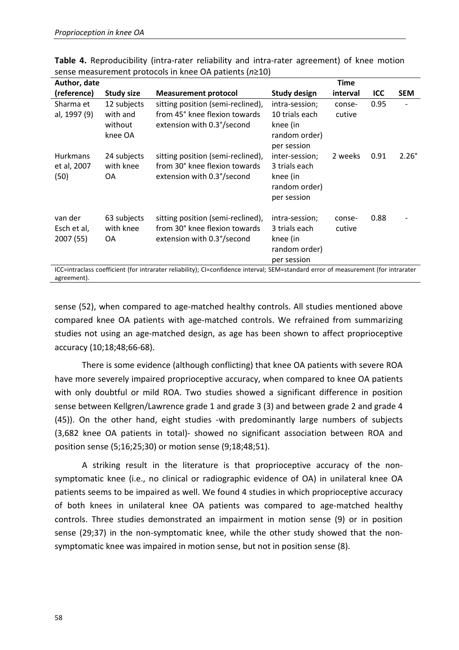| Author, date                                                                                                                       |                   |                                   |                     | <b>Time</b> |      |              |
|------------------------------------------------------------------------------------------------------------------------------------|-------------------|-----------------------------------|---------------------|-------------|------|--------------|
| (reference)                                                                                                                        | <b>Study size</b> | <b>Measurement protocol</b>       | <b>Study design</b> | interval    | ICC  | <b>SEM</b>   |
| Sharma et                                                                                                                          | 12 subjects       | sitting position (semi-reclined), | intra-session;      | conse-      | 0.95 |              |
| al, 1997 (9)                                                                                                                       | with and          | from 45° knee flexion towards     | 10 trials each      | cutive      |      |              |
|                                                                                                                                    | without           | extension with 0.3°/second        | knee (in            |             |      |              |
|                                                                                                                                    | knee OA           |                                   | random order)       |             |      |              |
|                                                                                                                                    |                   |                                   | per session         |             |      |              |
| <b>Hurkmans</b>                                                                                                                    | 24 subjects       | sitting position (semi-reclined), | inter-session;      | 2 weeks     | 0.91 | $2.26^\circ$ |
| et al, 2007                                                                                                                        | with knee         | from 30° knee flexion towards     | 3 trials each       |             |      |              |
| (50)                                                                                                                               | OA                | extension with 0.3°/second        | knee (in            |             |      |              |
|                                                                                                                                    |                   |                                   | random order)       |             |      |              |
|                                                                                                                                    |                   |                                   | per session         |             |      |              |
|                                                                                                                                    |                   |                                   |                     |             |      |              |
| van der                                                                                                                            | 63 subjects       | sitting position (semi-reclined), | intra-session;      | conse-      | 0.88 |              |
| Esch et al,                                                                                                                        | with knee         | from 30° knee flexion towards     | 3 trials each       | cutive      |      |              |
| 2007 (55)                                                                                                                          | OA                | extension with 0.3°/second        | knee (in            |             |      |              |
|                                                                                                                                    |                   |                                   | random order)       |             |      |              |
|                                                                                                                                    |                   |                                   | per session         |             |      |              |
| ICC=intraclass coefficient (for intrarater reliability); CI=confidence interval; SEM=standard error of measurement (for intrarater |                   |                                   |                     |             |      |              |
| agreement).                                                                                                                        |                   |                                   |                     |             |      |              |

**Table 4.** Reproducibility (intra-rater reliability and intra-rater agreement) of knee motion sense measurement protocols in knee OA patients (*n*≥10)

sense (52), when compared to age-matched healthy controls. All studies mentioned above compared knee OA patients with age-matched controls. We refrained from summarizing studies not using an age-matched design, as age has been shown to affect proprioceptive accuracy (10;18;48;66-68).

There is some evidence (although conflicting) that knee OA patients with severe ROA have more severely impaired proprioceptive accuracy, when compared to knee OA patients with only doubtful or mild ROA. Two studies showed a significant difference in position sense between Kellgren/Lawrence grade 1 and grade 3 (3) and between grade 2 and grade 4 (45)). On the other hand, eight studies -with predominantly large numbers of subjects (3,682 knee OA patients in total)- showed no significant association between ROA and position sense (5;16;25;30) or motion sense (9;18;48;51).

A striking result in the literature is that proprioceptive accuracy of the nonsymptomatic knee (i.e., no clinical or radiographic evidence of OA) in unilateral knee OA patients seems to be impaired as well. We found 4 studies in which proprioceptive accuracy of both knees in unilateral knee OA patients was compared to age-matched healthy controls. Three studies demonstrated an impairment in motion sense (9) or in position sense (29;37) in the non-symptomatic knee, while the other study showed that the nonsymptomatic knee was impaired in motion sense, but not in position sense (8).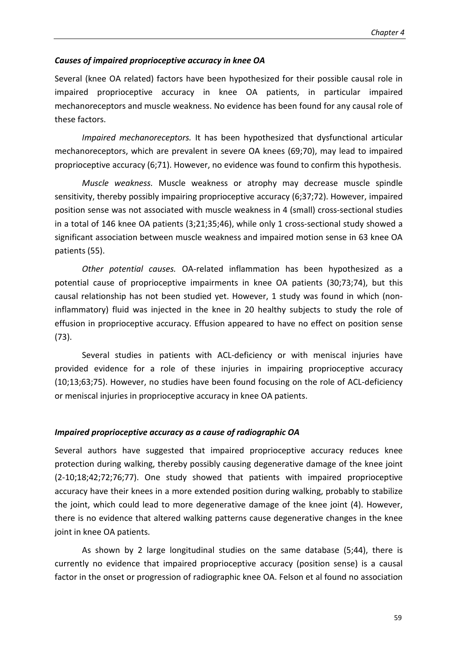# *Causes of impaired proprioceptive accuracy in knee OA*

Several (knee OA related) factors have been hypothesized for their possible causal role in impaired proprioceptive accuracy in knee OA patients, in particular impaired mechanoreceptors and muscle weakness. No evidence has been found for any causal role of these factors.

*Impaired mechanoreceptors.* It has been hypothesized that dysfunctional articular mechanoreceptors, which are prevalent in severe OA knees (69;70), may lead to impaired proprioceptive accuracy (6;71). However, no evidence was found to confirm this hypothesis.

*Muscle weakness.* Muscle weakness or atrophy may decrease muscle spindle sensitivity, thereby possibly impairing proprioceptive accuracy (6;37;72). However, impaired position sense was not associated with muscle weakness in 4 (small) cross-sectional studies in a total of 146 knee OA patients (3;21;35;46), while only 1 cross-sectional study showed a significant association between muscle weakness and impaired motion sense in 63 knee OA patients (55).

*Other potential causes.* OA-related inflammation has been hypothesized as a potential cause of proprioceptive impairments in knee OA patients (30;73;74), but this causal relationship has not been studied yet. However, 1 study was found in which (noninflammatory) fluid was injected in the knee in 20 healthy subjects to study the role of effusion in proprioceptive accuracy. Effusion appeared to have no effect on position sense (73).

Several studies in patients with ACL-deficiency or with meniscal injuries have provided evidence for a role of these injuries in impairing proprioceptive accuracy (10;13;63;75). However, no studies have been found focusing on the role of ACL-deficiency or meniscal injuries in proprioceptive accuracy in knee OA patients.

#### *Impaired proprioceptive accuracy as a cause of radiographic OA*

Several authors have suggested that impaired proprioceptive accuracy reduces knee protection during walking, thereby possibly causing degenerative damage of the knee joint (2-10;18;42;72;76;77). One study showed that patients with impaired proprioceptive accuracy have their knees in a more extended position during walking, probably to stabilize the joint, which could lead to more degenerative damage of the knee joint (4). However, there is no evidence that altered walking patterns cause degenerative changes in the knee joint in knee OA patients.

As shown by 2 large longitudinal studies on the same database (5;44), there is currently no evidence that impaired proprioceptive accuracy (position sense) is a causal factor in the onset or progression of radiographic knee OA. Felson et al found no association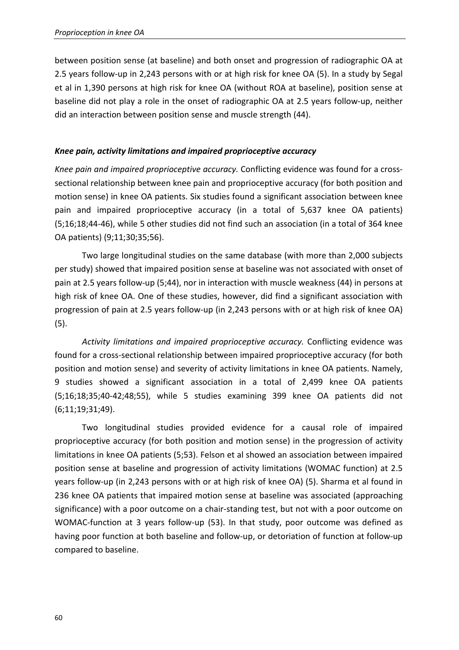between position sense (at baseline) and both onset and progression of radiographic OA at 2.5 years follow-up in 2,243 persons with or at high risk for knee OA (5). In a study by Segal et al in 1,390 persons at high risk for knee OA (without ROA at baseline), position sense at baseline did not play a role in the onset of radiographic OA at 2.5 years follow-up, neither did an interaction between position sense and muscle strength (44).

## *Knee pain, activity limitations and impaired proprioceptive accuracy*

*Knee pain and impaired proprioceptive accuracy.* Conflicting evidence was found for a crosssectional relationship between knee pain and proprioceptive accuracy (for both position and motion sense) in knee OA patients. Six studies found a significant association between knee pain and impaired proprioceptive accuracy (in a total of 5,637 knee OA patients) (5;16;18;44-46), while 5 other studies did not find such an association (in a total of 364 knee OA patients) (9;11;30;35;56).

Two large longitudinal studies on the same database (with more than 2,000 subjects per study) showed that impaired position sense at baseline was not associated with onset of pain at 2.5 years follow-up (5;44), nor in interaction with muscle weakness (44) in persons at high risk of knee OA. One of these studies, however, did find a significant association with progression of pain at 2.5 years follow-up (in 2,243 persons with or at high risk of knee OA) (5).

*Activity limitations and impaired proprioceptive accuracy.* Conflicting evidence was found for a cross-sectional relationship between impaired proprioceptive accuracy (for both position and motion sense) and severity of activity limitations in knee OA patients. Namely, 9 studies showed a significant association in a total of 2,499 knee OA patients (5;16;18;35;40-42;48;55), while 5 studies examining 399 knee OA patients did not (6;11;19;31;49).

Two longitudinal studies provided evidence for a causal role of impaired proprioceptive accuracy (for both position and motion sense) in the progression of activity limitations in knee OA patients (5;53). Felson et al showed an association between impaired position sense at baseline and progression of activity limitations (WOMAC function) at 2.5 years follow-up (in 2,243 persons with or at high risk of knee OA) (5). Sharma et al found in 236 knee OA patients that impaired motion sense at baseline was associated (approaching significance) with a poor outcome on a chair-standing test, but not with a poor outcome on WOMAC-function at 3 years follow-up (53). In that study, poor outcome was defined as having poor function at both baseline and follow-up, or detoriation of function at follow-up compared to baseline.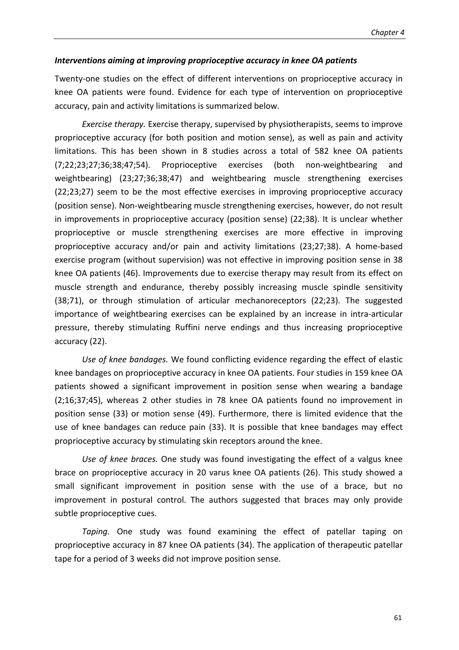#### *Interventions aiming at improving proprioceptive accuracy in knee OA patients*

Twenty-one studies on the effect of different interventions on proprioceptive accuracy in knee OA patients were found. Evidence for each type of intervention on proprioceptive accuracy, pain and activity limitations is summarized below.

*Exercise therapy.* Exercise therapy, supervised by physiotherapists, seems to improve proprioceptive accuracy (for both position and motion sense), as well as pain and activity limitations. This has been shown in 8 studies across a total of 582 knee OA patients (7;22;23;27;36;38;47;54). Proprioceptive exercises (both non-weightbearing and weightbearing) (23;27;36;38;47) and weightbearing muscle strengthening exercises (22;23;27) seem to be the most effective exercises in improving proprioceptive accuracy (position sense). Non-weightbearing muscle strengthening exercises, however, do not result in improvements in proprioceptive accuracy (position sense) (22;38). It is unclear whether proprioceptive or muscle strengthening exercises are more effective in improving proprioceptive accuracy and/or pain and activity limitations (23;27;38). A home-based exercise program (without supervision) was not effective in improving position sense in 38 knee OA patients (46). Improvements due to exercise therapy may result from its effect on muscle strength and endurance, thereby possibly increasing muscle spindle sensitivity (38;71), or through stimulation of articular mechanoreceptors (22;23). The suggested importance of weightbearing exercises can be explained by an increase in intra-articular pressure, thereby stimulating Ruffini nerve endings and thus increasing proprioceptive accuracy (22).

*Use of knee bandages.* We found conflicting evidence regarding the effect of elastic knee bandages on proprioceptive accuracy in knee OA patients. Four studies in 159 knee OA patients showed a significant improvement in position sense when wearing a bandage (2;16;37;45), whereas 2 other studies in 78 knee OA patients found no improvement in position sense (33) or motion sense (49). Furthermore, there is limited evidence that the use of knee bandages can reduce pain (33). It is possible that knee bandages may effect proprioceptive accuracy by stimulating skin receptors around the knee.

*Use of knee braces.* One study was found investigating the effect of a valgus knee brace on proprioceptive accuracy in 20 varus knee OA patients (26). This study showed a small significant improvement in position sense with the use of a brace, but no improvement in postural control. The authors suggested that braces may only provide subtle proprioceptive cues.

*Taping.* One study was found examining the effect of patellar taping on proprioceptive accuracy in 87 knee OA patients (34). The application of therapeutic patellar tape for a period of 3 weeks did not improve position sense.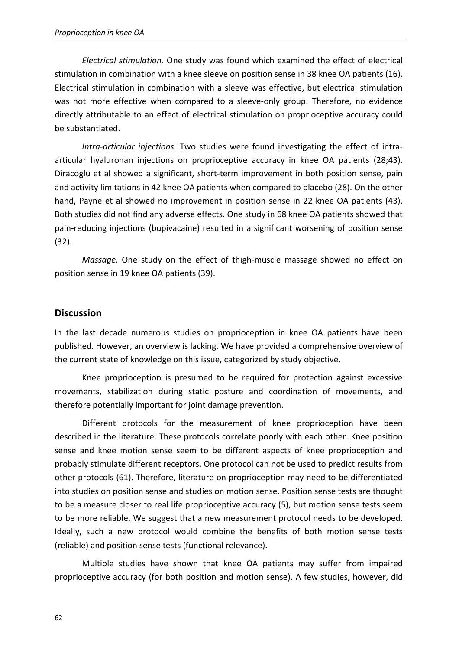*Electrical stimulation.* One study was found which examined the effect of electrical stimulation in combination with a knee sleeve on position sense in 38 knee OA patients (16). Electrical stimulation in combination with a sleeve was effective, but electrical stimulation was not more effective when compared to a sleeve-only group. Therefore, no evidence directly attributable to an effect of electrical stimulation on proprioceptive accuracy could be substantiated.

*Intra-articular injections.* Two studies were found investigating the effect of intraarticular hyaluronan injections on proprioceptive accuracy in knee OA patients (28;43). Diracoglu et al showed a significant, short-term improvement in both position sense, pain and activity limitations in 42 knee OA patients when compared to placebo (28). On the other hand, Payne et al showed no improvement in position sense in 22 knee OA patients (43). Both studies did not find any adverse effects. One study in 68 knee OA patients showed that pain-reducing injections (bupivacaine) resulted in a significant worsening of position sense (32).

*Massage.* One study on the effect of thigh-muscle massage showed no effect on position sense in 19 knee OA patients (39).

# **Discussion**

In the last decade numerous studies on proprioception in knee OA patients have been published. However, an overview is lacking. We have provided a comprehensive overview of the current state of knowledge on this issue, categorized by study objective.

Knee proprioception is presumed to be required for protection against excessive movements, stabilization during static posture and coordination of movements, and therefore potentially important for joint damage prevention.

Different protocols for the measurement of knee proprioception have been described in the literature. These protocols correlate poorly with each other. Knee position sense and knee motion sense seem to be different aspects of knee proprioception and probably stimulate different receptors. One protocol can not be used to predict results from other protocols (61). Therefore, literature on proprioception may need to be differentiated into studies on position sense and studies on motion sense. Position sense tests are thought to be a measure closer to real life proprioceptive accuracy (5), but motion sense tests seem to be more reliable. We suggest that a new measurement protocol needs to be developed. Ideally, such a new protocol would combine the benefits of both motion sense tests (reliable) and position sense tests (functional relevance).

Multiple studies have shown that knee OA patients may suffer from impaired proprioceptive accuracy (for both position and motion sense). A few studies, however, did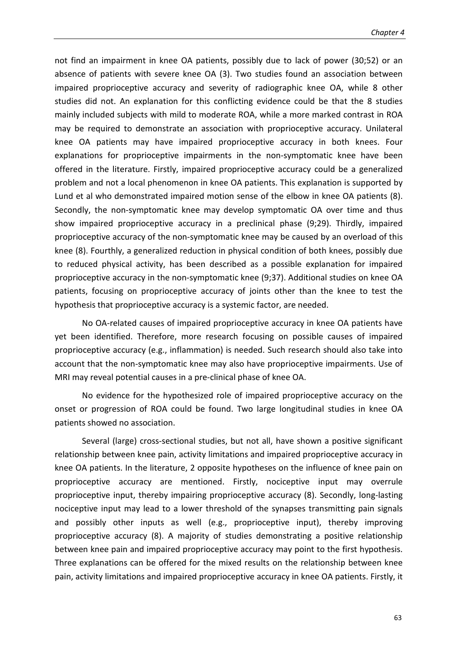not find an impairment in knee OA patients, possibly due to lack of power (30;52) or an absence of patients with severe knee OA (3). Two studies found an association between impaired proprioceptive accuracy and severity of radiographic knee OA, while 8 other studies did not. An explanation for this conflicting evidence could be that the 8 studies mainly included subjects with mild to moderate ROA, while a more marked contrast in ROA may be required to demonstrate an association with proprioceptive accuracy. Unilateral knee OA patients may have impaired proprioceptive accuracy in both knees. Four explanations for proprioceptive impairments in the non-symptomatic knee have been offered in the literature. Firstly, impaired proprioceptive accuracy could be a generalized problem and not a local phenomenon in knee OA patients. This explanation is supported by Lund et al who demonstrated impaired motion sense of the elbow in knee OA patients (8). Secondly, the non-symptomatic knee may develop symptomatic OA over time and thus show impaired proprioceptive accuracy in a preclinical phase (9;29). Thirdly, impaired proprioceptive accuracy of the non-symptomatic knee may be caused by an overload of this knee (8). Fourthly, a generalized reduction in physical condition of both knees, possibly due to reduced physical activity, has been described as a possible explanation for impaired proprioceptive accuracy in the non-symptomatic knee (9;37). Additional studies on knee OA patients, focusing on proprioceptive accuracy of joints other than the knee to test the hypothesis that proprioceptive accuracy is a systemic factor, are needed.

No OA-related causes of impaired proprioceptive accuracy in knee OA patients have yet been identified. Therefore, more research focusing on possible causes of impaired proprioceptive accuracy (e.g., inflammation) is needed. Such research should also take into account that the non-symptomatic knee may also have proprioceptive impairments. Use of MRI may reveal potential causes in a pre-clinical phase of knee OA.

No evidence for the hypothesized role of impaired proprioceptive accuracy on the onset or progression of ROA could be found. Two large longitudinal studies in knee OA patients showed no association.

Several (large) cross-sectional studies, but not all, have shown a positive significant relationship between knee pain, activity limitations and impaired proprioceptive accuracy in knee OA patients. In the literature, 2 opposite hypotheses on the influence of knee pain on proprioceptive accuracy are mentioned. Firstly, nociceptive input may overrule proprioceptive input, thereby impairing proprioceptive accuracy (8). Secondly, long-lasting nociceptive input may lead to a lower threshold of the synapses transmitting pain signals and possibly other inputs as well (e.g., proprioceptive input), thereby improving proprioceptive accuracy (8). A majority of studies demonstrating a positive relationship between knee pain and impaired proprioceptive accuracy may point to the first hypothesis. Three explanations can be offered for the mixed results on the relationship between knee pain, activity limitations and impaired proprioceptive accuracy in knee OA patients. Firstly, it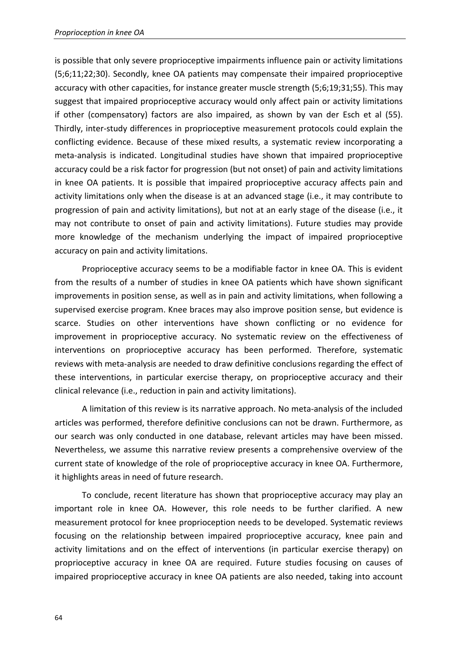is possible that only severe proprioceptive impairments influence pain or activity limitations (5;6;11;22;30). Secondly, knee OA patients may compensate their impaired proprioceptive accuracy with other capacities, for instance greater muscle strength (5;6;19;31;55). This may suggest that impaired proprioceptive accuracy would only affect pain or activity limitations if other (compensatory) factors are also impaired, as shown by van der Esch et al (55). Thirdly, inter-study differences in proprioceptive measurement protocols could explain the conflicting evidence. Because of these mixed results, a systematic review incorporating a meta-analysis is indicated. Longitudinal studies have shown that impaired proprioceptive accuracy could be a risk factor for progression (but not onset) of pain and activity limitations in knee OA patients. It is possible that impaired proprioceptive accuracy affects pain and activity limitations only when the disease is at an advanced stage (i.e., it may contribute to progression of pain and activity limitations), but not at an early stage of the disease (i.e., it may not contribute to onset of pain and activity limitations). Future studies may provide more knowledge of the mechanism underlying the impact of impaired proprioceptive accuracy on pain and activity limitations.

Proprioceptive accuracy seems to be a modifiable factor in knee OA. This is evident from the results of a number of studies in knee OA patients which have shown significant improvements in position sense, as well as in pain and activity limitations, when following a supervised exercise program. Knee braces may also improve position sense, but evidence is scarce. Studies on other interventions have shown conflicting or no evidence for improvement in proprioceptive accuracy. No systematic review on the effectiveness of interventions on proprioceptive accuracy has been performed. Therefore, systematic reviews with meta-analysis are needed to draw definitive conclusions regarding the effect of these interventions, in particular exercise therapy, on proprioceptive accuracy and their clinical relevance (i.e., reduction in pain and activity limitations).

A limitation of this review is its narrative approach. No meta-analysis of the included articles was performed, therefore definitive conclusions can not be drawn. Furthermore, as our search was only conducted in one database, relevant articles may have been missed. Nevertheless, we assume this narrative review presents a comprehensive overview of the current state of knowledge of the role of proprioceptive accuracy in knee OA. Furthermore, it highlights areas in need of future research.

 To conclude, recent literature has shown that proprioceptive accuracy may play an important role in knee OA. However, this role needs to be further clarified. A new measurement protocol for knee proprioception needs to be developed. Systematic reviews focusing on the relationship between impaired proprioceptive accuracy, knee pain and activity limitations and on the effect of interventions (in particular exercise therapy) on proprioceptive accuracy in knee OA are required. Future studies focusing on causes of impaired proprioceptive accuracy in knee OA patients are also needed, taking into account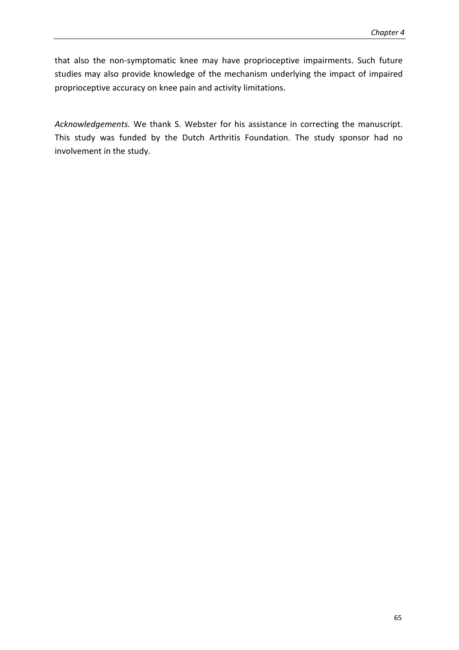that also the non-symptomatic knee may have proprioceptive impairments. Such future studies may also provide knowledge of the mechanism underlying the impact of impaired proprioceptive accuracy on knee pain and activity limitations.

*Acknowledgements.* We thank S. Webster for his assistance in correcting the manuscript. This study was funded by the Dutch Arthritis Foundation. The study sponsor had no involvement in the study.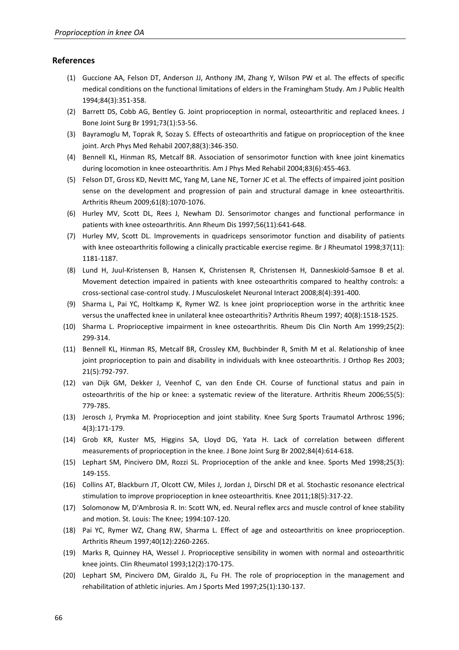#### **References**

- (1) Guccione AA, Felson DT, Anderson JJ, Anthony JM, Zhang Y, Wilson PW et al. The effects of specific medical conditions on the functional limitations of elders in the Framingham Study. Am J Public Health 1994;84(3):351-358.
- (2) Barrett DS, Cobb AG, Bentley G. Joint proprioception in normal, osteoarthritic and replaced knees. J Bone Joint Surg Br 1991;73(1):53-56.
- (3) Bayramoglu M, Toprak R, Sozay S. Effects of osteoarthritis and fatigue on proprioception of the knee joint. Arch Phys Med Rehabil 2007;88(3):346-350.
- (4) Bennell KL, Hinman RS, Metcalf BR. Association of sensorimotor function with knee joint kinematics during locomotion in knee osteoarthritis. Am J Phys Med Rehabil 2004;83(6):455-463.
- (5) Felson DT, Gross KD, Nevitt MC, Yang M, Lane NE, Torner JC et al. The effects of impaired joint position sense on the development and progression of pain and structural damage in knee osteoarthritis. Arthritis Rheum 2009;61(8):1070-1076.
- (6) Hurley MV, Scott DL, Rees J, Newham DJ. Sensorimotor changes and functional performance in patients with knee osteoarthritis. Ann Rheum Dis 1997;56(11):641-648.
- (7) Hurley MV, Scott DL. Improvements in quadriceps sensorimotor function and disability of patients with knee osteoarthritis following a clinically practicable exercise regime. Br J Rheumatol 1998;37(11): 1181-1187.
- (8) Lund H, Juul-Kristensen B, Hansen K, Christensen R, Christensen H, Danneskiold-Samsoe B et al. Movement detection impaired in patients with knee osteoarthritis compared to healthy controls: a cross-sectional case-control study. J Musculoskelet Neuronal Interact 2008;8(4):391-400.
- (9) Sharma L, Pai YC, Holtkamp K, Rymer WZ. Is knee joint proprioception worse in the arthritic knee versus the unaffected knee in unilateral knee osteoarthritis? Arthritis Rheum 1997; 40(8):1518-1525.
- (10) Sharma L. Proprioceptive impairment in knee osteoarthritis. Rheum Dis Clin North Am 1999;25(2): 299-314.
- (11) Bennell KL, Hinman RS, Metcalf BR, Crossley KM, Buchbinder R, Smith M et al. Relationship of knee joint proprioception to pain and disability in individuals with knee osteoarthritis. J Orthop Res 2003; 21(5):792-797.
- (12) van Dijk GM, Dekker J, Veenhof C, van den Ende CH. Course of functional status and pain in osteoarthritis of the hip or knee: a systematic review of the literature. Arthritis Rheum 2006;55(5): 779-785.
- (13) Jerosch J, Prymka M. Proprioception and joint stability. Knee Surg Sports Traumatol Arthrosc 1996; 4(3):171-179.
- (14) Grob KR, Kuster MS, Higgins SA, Lloyd DG, Yata H. Lack of correlation between different measurements of proprioception in the knee. J Bone Joint Surg Br 2002;84(4):614-618.
- (15) Lephart SM, Pincivero DM, Rozzi SL. Proprioception of the ankle and knee. Sports Med 1998;25(3): 149-155.
- (16) Collins AT, Blackburn JT, Olcott CW, Miles J, Jordan J, Dirschl DR et al. Stochastic resonance electrical stimulation to improve proprioception in knee osteoarthritis. Knee 2011;18(5):317-22.
- (17) Solomonow M, D'Ambrosia R. In: Scott WN, ed. Neural reflex arcs and muscle control of knee stability and motion. St. Louis: The Knee; 1994:107-120.
- (18) Pai YC, Rymer WZ, Chang RW, Sharma L. Effect of age and osteoarthritis on knee proprioception. Arthritis Rheum 1997;40(12):2260-2265.
- (19) Marks R, Quinney HA, Wessel J. Proprioceptive sensibility in women with normal and osteoarthritic knee joints. Clin Rheumatol 1993;12(2):170-175.
- (20) Lephart SM, Pincivero DM, Giraldo JL, Fu FH. The role of proprioception in the management and rehabilitation of athletic injuries. Am J Sports Med 1997;25(1):130-137.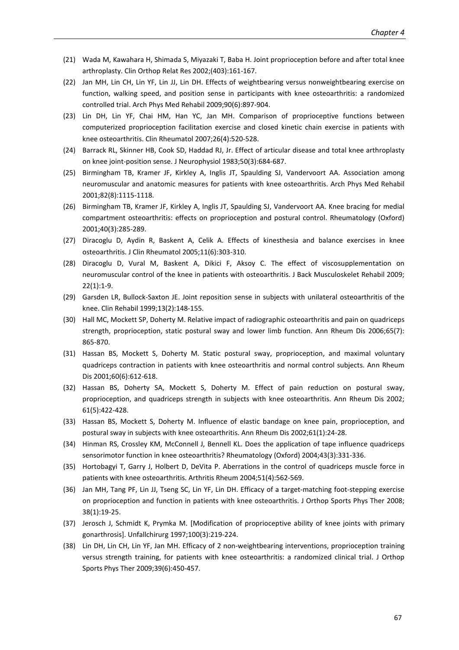- (21) Wada M, Kawahara H, Shimada S, Miyazaki T, Baba H. Joint proprioception before and after total knee arthroplasty. Clin Orthop Relat Res 2002;(403):161-167.
- (22) Jan MH, Lin CH, Lin YF, Lin JJ, Lin DH. Effects of weightbearing versus nonweightbearing exercise on function, walking speed, and position sense in participants with knee osteoarthritis: a randomized controlled trial. Arch Phys Med Rehabil 2009;90(6):897-904.
- (23) Lin DH, Lin YF, Chai HM, Han YC, Jan MH. Comparison of proprioceptive functions between computerized proprioception facilitation exercise and closed kinetic chain exercise in patients with knee osteoarthritis. Clin Rheumatol 2007;26(4):520-528.
- (24) Barrack RL, Skinner HB, Cook SD, Haddad RJ, Jr. Effect of articular disease and total knee arthroplasty on knee joint-position sense. J Neurophysiol 1983;50(3):684-687.
- (25) Birmingham TB, Kramer JF, Kirkley A, Inglis JT, Spaulding SJ, Vandervoort AA. Association among neuromuscular and anatomic measures for patients with knee osteoarthritis. Arch Phys Med Rehabil 2001;82(8):1115-1118.
- (26) Birmingham TB, Kramer JF, Kirkley A, Inglis JT, Spaulding SJ, Vandervoort AA. Knee bracing for medial compartment osteoarthritis: effects on proprioception and postural control. Rheumatology (Oxford) 2001;40(3):285-289.
- (27) Diracoglu D, Aydin R, Baskent A, Celik A. Effects of kinesthesia and balance exercises in knee osteoarthritis. J Clin Rheumatol 2005;11(6):303-310.
- (28) Diracoglu D, Vural M, Baskent A, Dikici F, Aksoy C. The effect of viscosupplementation on neuromuscular control of the knee in patients with osteoarthritis. J Back Musculoskelet Rehabil 2009; 22(1):1-9.
- (29) Garsden LR, Bullock-Saxton JE. Joint reposition sense in subjects with unilateral osteoarthritis of the knee. Clin Rehabil 1999;13(2):148-155.
- (30) Hall MC, Mockett SP, Doherty M. Relative impact of radiographic osteoarthritis and pain on quadriceps strength, proprioception, static postural sway and lower limb function. Ann Rheum Dis 2006;65(7): 865-870.
- (31) Hassan BS, Mockett S, Doherty M. Static postural sway, proprioception, and maximal voluntary quadriceps contraction in patients with knee osteoarthritis and normal control subjects. Ann Rheum Dis 2001;60(6):612-618.
- (32) Hassan BS, Doherty SA, Mockett S, Doherty M. Effect of pain reduction on postural sway, proprioception, and quadriceps strength in subjects with knee osteoarthritis. Ann Rheum Dis 2002; 61(5):422-428.
- (33) Hassan BS, Mockett S, Doherty M. Influence of elastic bandage on knee pain, proprioception, and postural sway in subjects with knee osteoarthritis. Ann Rheum Dis 2002;61(1):24-28.
- (34) Hinman RS, Crossley KM, McConnell J, Bennell KL. Does the application of tape influence quadriceps sensorimotor function in knee osteoarthritis? Rheumatology (Oxford) 2004;43(3):331-336.
- (35) Hortobagyi T, Garry J, Holbert D, DeVita P. Aberrations in the control of quadriceps muscle force in patients with knee osteoarthritis. Arthritis Rheum 2004;51(4):562-569.
- (36) Jan MH, Tang PF, Lin JJ, Tseng SC, Lin YF, Lin DH. Efficacy of a target-matching foot-stepping exercise on proprioception and function in patients with knee osteoarthritis. J Orthop Sports Phys Ther 2008; 38(1):19-25.
- (37) Jerosch J, Schmidt K, Prymka M. [Modification of proprioceptive ability of knee joints with primary gonarthrosis]. Unfallchirurg 1997;100(3):219-224.
- (38) Lin DH, Lin CH, Lin YF, Jan MH. Efficacy of 2 non-weightbearing interventions, proprioception training versus strength training, for patients with knee osteoarthritis: a randomized clinical trial. J Orthop Sports Phys Ther 2009;39(6):450-457.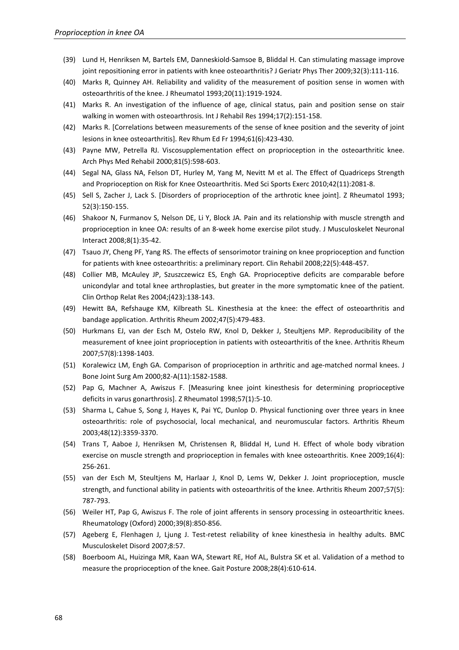- (39) Lund H, Henriksen M, Bartels EM, Danneskiold-Samsoe B, Bliddal H. Can stimulating massage improve joint repositioning error in patients with knee osteoarthritis? J Geriatr Phys Ther 2009;32(3):111-116.
- (40) Marks R, Quinney AH. Reliability and validity of the measurement of position sense in women with osteoarthritis of the knee. J Rheumatol 1993;20(11):1919-1924.
- (41) Marks R. An investigation of the influence of age, clinical status, pain and position sense on stair walking in women with osteoarthrosis. Int J Rehabil Res 1994;17(2):151-158.
- (42) Marks R. [Correlations between measurements of the sense of knee position and the severity of joint lesions in knee osteoarthritis]. Rev Rhum Ed Fr 1994;61(6):423-430.
- (43) Payne MW, Petrella RJ. Viscosupplementation effect on proprioception in the osteoarthritic knee. Arch Phys Med Rehabil 2000;81(5):598-603.
- (44) Segal NA, Glass NA, Felson DT, Hurley M, Yang M, Nevitt M et al. The Effect of Quadriceps Strength and Proprioception on Risk for Knee Osteoarthritis. Med Sci Sports Exerc 2010;42(11):2081-8.
- (45) Sell S, Zacher J, Lack S. [Disorders of proprioception of the arthrotic knee joint]. Z Rheumatol 1993; 52(3):150-155.
- (46) Shakoor N, Furmanov S, Nelson DE, Li Y, Block JA. Pain and its relationship with muscle strength and proprioception in knee OA: results of an 8-week home exercise pilot study. J Musculoskelet Neuronal Interact 2008;8(1):35-42.
- (47) Tsauo JY, Cheng PF, Yang RS. The effects of sensorimotor training on knee proprioception and function for patients with knee osteoarthritis: a preliminary report. Clin Rehabil 2008;22(5):448-457.
- (48) Collier MB, McAuley JP, Szuszczewicz ES, Engh GA. Proprioceptive deficits are comparable before unicondylar and total knee arthroplasties, but greater in the more symptomatic knee of the patient. Clin Orthop Relat Res 2004;(423):138-143.
- (49) Hewitt BA, Refshauge KM, Kilbreath SL. Kinesthesia at the knee: the effect of osteoarthritis and bandage application. Arthritis Rheum 2002;47(5):479-483.
- (50) Hurkmans EJ, van der Esch M, Ostelo RW, Knol D, Dekker J, Steultjens MP. Reproducibility of the measurement of knee joint proprioception in patients with osteoarthritis of the knee. Arthritis Rheum 2007;57(8):1398-1403.
- (51) Koralewicz LM, Engh GA. Comparison of proprioception in arthritic and age-matched normal knees. J Bone Joint Surg Am 2000;82-A(11):1582-1588.
- (52) Pap G, Machner A, Awiszus F. [Measuring knee joint kinesthesis for determining proprioceptive deficits in varus gonarthrosis]. Z Rheumatol 1998;57(1):5-10.
- (53) Sharma L, Cahue S, Song J, Hayes K, Pai YC, Dunlop D. Physical functioning over three years in knee osteoarthritis: role of psychosocial, local mechanical, and neuromuscular factors. Arthritis Rheum 2003;48(12):3359-3370.
- (54) Trans T, Aaboe J, Henriksen M, Christensen R, Bliddal H, Lund H. Effect of whole body vibration exercise on muscle strength and proprioception in females with knee osteoarthritis. Knee 2009;16(4): 256-261.
- (55) van der Esch M, Steultjens M, Harlaar J, Knol D, Lems W, Dekker J. Joint proprioception, muscle strength, and functional ability in patients with osteoarthritis of the knee. Arthritis Rheum 2007;57(5): 787-793.
- (56) Weiler HT, Pap G, Awiszus F. The role of joint afferents in sensory processing in osteoarthritic knees. Rheumatology (Oxford) 2000;39(8):850-856.
- (57) Ageberg E, Flenhagen J, Ljung J. Test-retest reliability of knee kinesthesia in healthy adults. BMC Musculoskelet Disord 2007;8:57.
- (58) Boerboom AL, Huizinga MR, Kaan WA, Stewart RE, Hof AL, Bulstra SK et al. Validation of a method to measure the proprioception of the knee. Gait Posture 2008;28(4):610-614.